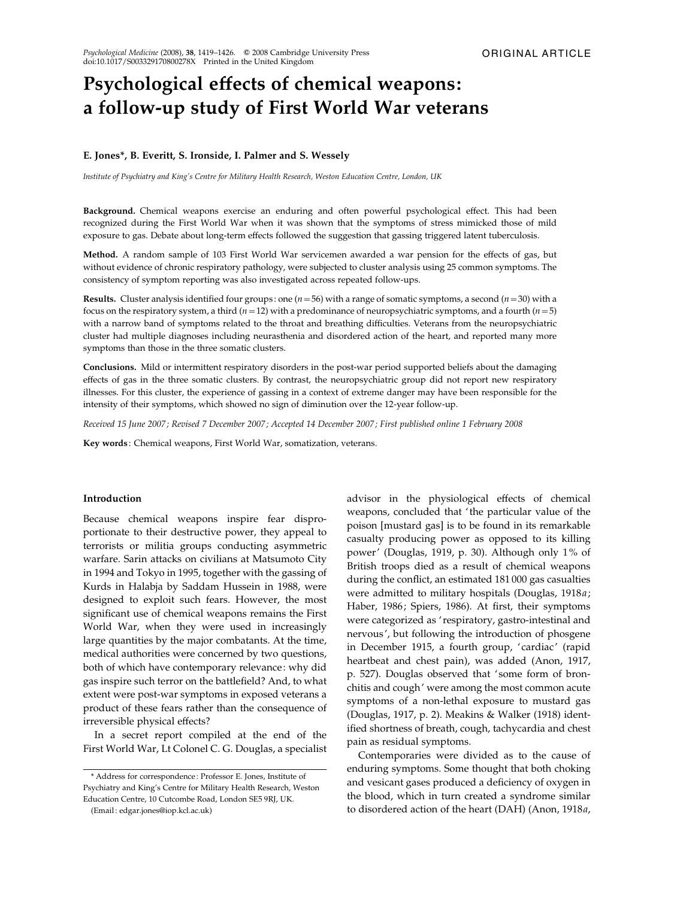# Psychological effects of chemical weapons: a follow-up study of First World War veterans

## E. Jones\*, B. Everitt, S. Ironside, I. Palmer and S. Wessely

Institute of Psychiatry and King's Centre for Military Health Research, Weston Education Centre, London, UK

Background. Chemical weapons exercise an enduring and often powerful psychological effect. This had been recognized during the First World War when it was shown that the symptoms of stress mimicked those of mild exposure to gas. Debate about long-term effects followed the suggestion that gassing triggered latent tuberculosis.

Method. A random sample of 103 First World War servicemen awarded a war pension for the effects of gas, but without evidence of chronic respiratory pathology, were subjected to cluster analysis using 25 common symptoms. The consistency of symptom reporting was also investigated across repeated follow-ups.

**Results.** Cluster analysis identified four groups: one ( $n=56$ ) with a range of somatic symptoms, a second ( $n=30$ ) with a focus on the respiratory system, a third ( $n=12$ ) with a predominance of neuropsychiatric symptoms, and a fourth ( $n=5$ ) with a narrow band of symptoms related to the throat and breathing difficulties. Veterans from the neuropsychiatric cluster had multiple diagnoses including neurasthenia and disordered action of the heart, and reported many more symptoms than those in the three somatic clusters.

Conclusions. Mild or intermittent respiratory disorders in the post-war period supported beliefs about the damaging effects of gas in the three somatic clusters. By contrast, the neuropsychiatric group did not report new respiratory illnesses. For this cluster, the experience of gassing in a context of extreme danger may have been responsible for the intensity of their symptoms, which showed no sign of diminution over the 12-year follow-up.

Received 15 June 2007; Revised 7 December 2007; Accepted 14 December 2007; First published online 1 February 2008

Key words : Chemical weapons, First World War, somatization, veterans.

## Introduction

Because chemical weapons inspire fear disproportionate to their destructive power, they appeal to terrorists or militia groups conducting asymmetric warfare. Sarin attacks on civilians at Matsumoto City in 1994 and Tokyo in 1995, together with the gassing of Kurds in Halabja by Saddam Hussein in 1988, were designed to exploit such fears. However, the most significant use of chemical weapons remains the First World War, when they were used in increasingly large quantities by the major combatants. At the time, medical authorities were concerned by two questions, both of which have contemporary relevance: why did gas inspire such terror on the battlefield? And, to what extent were post-war symptoms in exposed veterans a product of these fears rather than the consequence of irreversible physical effects?

In a secret report compiled at the end of the First World War, Lt Colonel C. G. Douglas, a specialist

(Email : edgar.jones@iop.kcl.ac.uk)

advisor in the physiological effects of chemical weapons, concluded that ' the particular value of the poison [mustard gas] is to be found in its remarkable casualty producing power as opposed to its killing power' (Douglas, 1919, p. 30). Although only 1% of British troops died as a result of chemical weapons during the conflict, an estimated 181 000 gas casualties were admitted to military hospitals (Douglas, 1918a; Haber, 1986; Spiers, 1986). At first, their symptoms were categorized as ' respiratory, gastro-intestinal and nervous', but following the introduction of phosgene in December 1915, a fourth group, 'cardiac' (rapid heartbeat and chest pain), was added (Anon, 1917, p. 527). Douglas observed that 'some form of bronchitis and cough' were among the most common acute symptoms of a non-lethal exposure to mustard gas (Douglas, 1917, p. 2). Meakins & Walker (1918) identified shortness of breath, cough, tachycardia and chest pain as residual symptoms.

Contemporaries were divided as to the cause of enduring symptoms. Some thought that both choking and vesicant gases produced a deficiency of oxygen in the blood, which in turn created a syndrome similar to disordered action of the heart (DAH) (Anon, 1918a,

<sup>\*</sup> Address for correspondence : Professor E. Jones, Institute of Psychiatry and King's Centre for Military Health Research, Weston Education Centre, 10 Cutcombe Road, London SE5 9RJ, UK.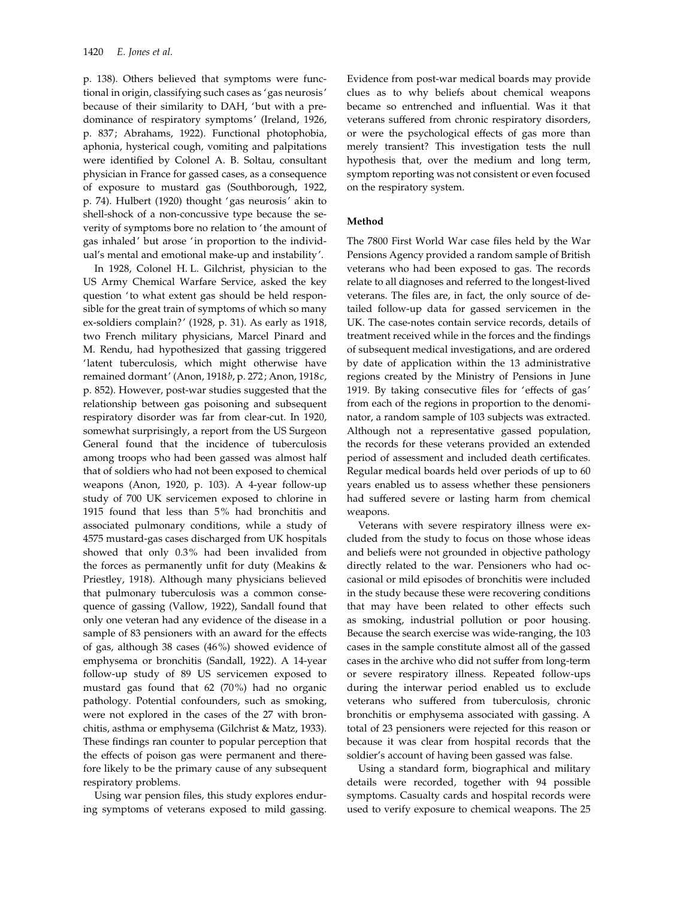p. 138). Others believed that symptoms were functional in origin, classifying such cases as 'gas neurosis' because of their similarity to DAH, 'but with a predominance of respiratory symptoms' (Ireland, 1926, p. 837; Abrahams, 1922). Functional photophobia, aphonia, hysterical cough, vomiting and palpitations were identified by Colonel A. B. Soltau, consultant physician in France for gassed cases, as a consequence of exposure to mustard gas (Southborough, 1922, p. 74). Hulbert (1920) thought 'gas neurosis' akin to shell-shock of a non-concussive type because the severity of symptoms bore no relation to ' the amount of gas inhaled' but arose 'in proportion to the individual's mental and emotional make-up and instability'.

In 1928, Colonel H. L. Gilchrist, physician to the US Army Chemical Warfare Service, asked the key question 'to what extent gas should be held responsible for the great train of symptoms of which so many ex-soldiers complain?' (1928, p. 31). As early as 1918, two French military physicians, Marcel Pinard and M. Rendu, had hypothesized that gassing triggered 'latent tuberculosis, which might otherwise have remained dormant' (Anon, 1918b, p. 272; Anon, 1918c, p. 852). However, post-war studies suggested that the relationship between gas poisoning and subsequent respiratory disorder was far from clear-cut. In 1920, somewhat surprisingly, a report from the US Surgeon General found that the incidence of tuberculosis among troops who had been gassed was almost half that of soldiers who had not been exposed to chemical weapons (Anon, 1920, p. 103). A 4-year follow-up study of 700 UK servicemen exposed to chlorine in 1915 found that less than 5% had bronchitis and associated pulmonary conditions, while a study of 4575 mustard-gas cases discharged from UK hospitals showed that only 0.3% had been invalided from the forces as permanently unfit for duty (Meakins & Priestley, 1918). Although many physicians believed that pulmonary tuberculosis was a common consequence of gassing (Vallow, 1922), Sandall found that only one veteran had any evidence of the disease in a sample of 83 pensioners with an award for the effects of gas, although 38 cases (46%) showed evidence of emphysema or bronchitis (Sandall, 1922). A 14-year follow-up study of 89 US servicemen exposed to mustard gas found that 62 (70%) had no organic pathology. Potential confounders, such as smoking, were not explored in the cases of the 27 with bronchitis, asthma or emphysema (Gilchrist & Matz, 1933). These findings ran counter to popular perception that the effects of poison gas were permanent and therefore likely to be the primary cause of any subsequent respiratory problems.

Using war pension files, this study explores enduring symptoms of veterans exposed to mild gassing.

Evidence from post-war medical boards may provide clues as to why beliefs about chemical weapons became so entrenched and influential. Was it that veterans suffered from chronic respiratory disorders, or were the psychological effects of gas more than merely transient? This investigation tests the null hypothesis that, over the medium and long term, symptom reporting was not consistent or even focused on the respiratory system.

## Method

The 7800 First World War case files held by the War Pensions Agency provided a random sample of British veterans who had been exposed to gas. The records relate to all diagnoses and referred to the longest-lived veterans. The files are, in fact, the only source of detailed follow-up data for gassed servicemen in the UK. The case-notes contain service records, details of treatment received while in the forces and the findings of subsequent medical investigations, and are ordered by date of application within the 13 administrative regions created by the Ministry of Pensions in June 1919. By taking consecutive files for 'effects of gas' from each of the regions in proportion to the denominator, a random sample of 103 subjects was extracted. Although not a representative gassed population, the records for these veterans provided an extended period of assessment and included death certificates. Regular medical boards held over periods of up to 60 years enabled us to assess whether these pensioners had suffered severe or lasting harm from chemical weapons.

Veterans with severe respiratory illness were excluded from the study to focus on those whose ideas and beliefs were not grounded in objective pathology directly related to the war. Pensioners who had occasional or mild episodes of bronchitis were included in the study because these were recovering conditions that may have been related to other effects such as smoking, industrial pollution or poor housing. Because the search exercise was wide-ranging, the 103 cases in the sample constitute almost all of the gassed cases in the archive who did not suffer from long-term or severe respiratory illness. Repeated follow-ups during the interwar period enabled us to exclude veterans who suffered from tuberculosis, chronic bronchitis or emphysema associated with gassing. A total of 23 pensioners were rejected for this reason or because it was clear from hospital records that the soldier's account of having been gassed was false.

Using a standard form, biographical and military details were recorded, together with 94 possible symptoms. Casualty cards and hospital records were used to verify exposure to chemical weapons. The 25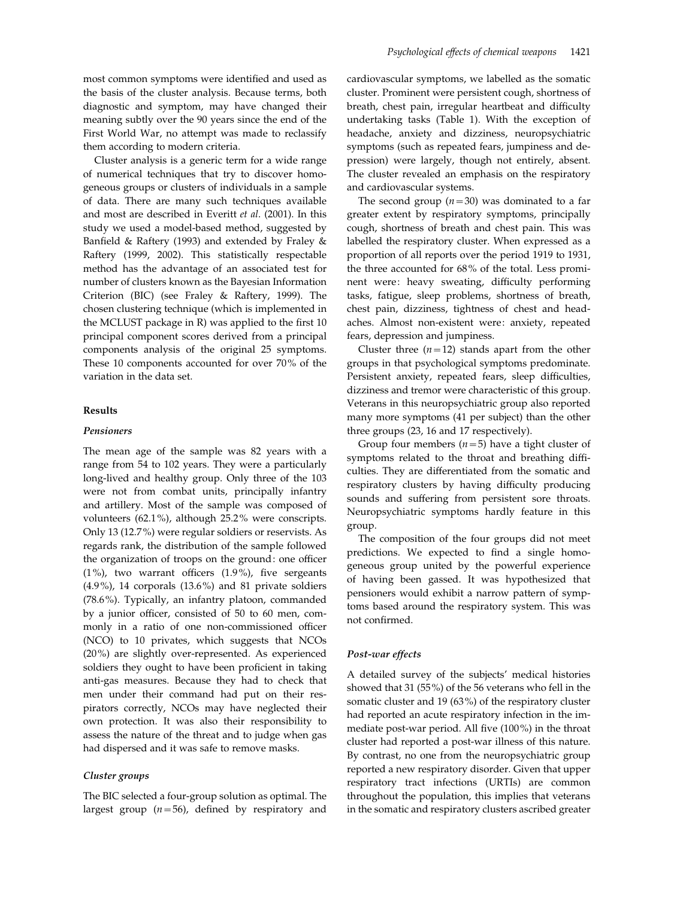most common symptoms were identified and used as the basis of the cluster analysis. Because terms, both diagnostic and symptom, may have changed their meaning subtly over the 90 years since the end of the First World War, no attempt was made to reclassify them according to modern criteria.

Cluster analysis is a generic term for a wide range of numerical techniques that try to discover homogeneous groups or clusters of individuals in a sample of data. There are many such techniques available and most are described in Everitt et al. (2001). In this study we used a model-based method, suggested by Banfield & Raftery (1993) and extended by Fraley & Raftery (1999, 2002). This statistically respectable method has the advantage of an associated test for number of clusters known as the Bayesian Information Criterion (BIC) (see Fraley & Raftery, 1999). The chosen clustering technique (which is implemented in the MCLUST package in R) was applied to the first 10 principal component scores derived from a principal components analysis of the original 25 symptoms. These 10 components accounted for over 70% of the variation in the data set.

## Results

## Pensioners

The mean age of the sample was 82 years with a range from 54 to 102 years. They were a particularly long-lived and healthy group. Only three of the 103 were not from combat units, principally infantry and artillery. Most of the sample was composed of volunteers (62.1%), although 25.2% were conscripts. Only 13 (12.7%) were regular soldiers or reservists. As regards rank, the distribution of the sample followed the organization of troops on the ground: one officer (1%), two warrant officers (1.9%), five sergeants (4.9%), 14 corporals (13.6%) and 81 private soldiers (78.6%). Typically, an infantry platoon, commanded by a junior officer, consisted of 50 to 60 men, commonly in a ratio of one non-commissioned officer (NCO) to 10 privates, which suggests that NCOs (20%) are slightly over-represented. As experienced soldiers they ought to have been proficient in taking anti-gas measures. Because they had to check that men under their command had put on their respirators correctly, NCOs may have neglected their own protection. It was also their responsibility to assess the nature of the threat and to judge when gas had dispersed and it was safe to remove masks.

# Cluster groups

The BIC selected a four-group solution as optimal. The largest group  $(n=56)$ , defined by respiratory and

cardiovascular symptoms, we labelled as the somatic cluster. Prominent were persistent cough, shortness of breath, chest pain, irregular heartbeat and difficulty undertaking tasks (Table 1). With the exception of headache, anxiety and dizziness, neuropsychiatric symptoms (such as repeated fears, jumpiness and depression) were largely, though not entirely, absent. The cluster revealed an emphasis on the respiratory and cardiovascular systems.

The second group  $(n=30)$  was dominated to a far greater extent by respiratory symptoms, principally cough, shortness of breath and chest pain. This was labelled the respiratory cluster. When expressed as a proportion of all reports over the period 1919 to 1931, the three accounted for 68% of the total. Less prominent were: heavy sweating, difficulty performing tasks, fatigue, sleep problems, shortness of breath, chest pain, dizziness, tightness of chest and headaches. Almost non-existent were: anxiety, repeated fears, depression and jumpiness.

Cluster three  $(n=12)$  stands apart from the other groups in that psychological symptoms predominate. Persistent anxiety, repeated fears, sleep difficulties, dizziness and tremor were characteristic of this group. Veterans in this neuropsychiatric group also reported many more symptoms (41 per subject) than the other three groups (23, 16 and 17 respectively).

Group four members  $(n=5)$  have a tight cluster of symptoms related to the throat and breathing difficulties. They are differentiated from the somatic and respiratory clusters by having difficulty producing sounds and suffering from persistent sore throats. Neuropsychiatric symptoms hardly feature in this group.

The composition of the four groups did not meet predictions. We expected to find a single homogeneous group united by the powerful experience of having been gassed. It was hypothesized that pensioners would exhibit a narrow pattern of symptoms based around the respiratory system. This was not confirmed.

## Post-war effects

A detailed survey of the subjects' medical histories showed that 31 (55%) of the 56 veterans who fell in the somatic cluster and 19 (63%) of the respiratory cluster had reported an acute respiratory infection in the immediate post-war period. All five (100%) in the throat cluster had reported a post-war illness of this nature. By contrast, no one from the neuropsychiatric group reported a new respiratory disorder. Given that upper respiratory tract infections (URTIs) are common throughout the population, this implies that veterans in the somatic and respiratory clusters ascribed greater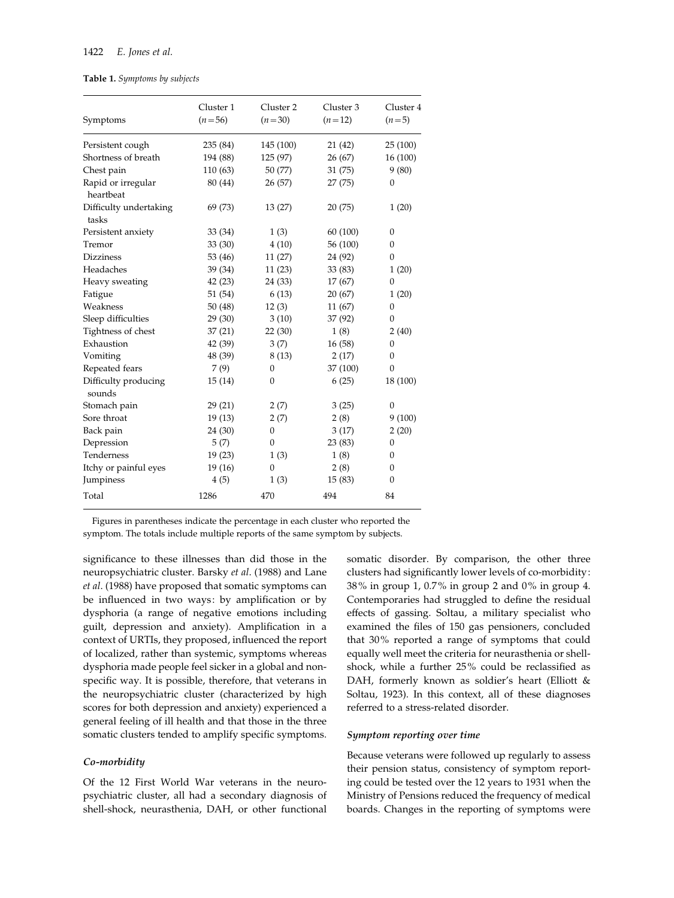## Table 1. Symptoms by subjects

| Symptoms                        | Cluster 1<br>$(n=56)$ | Cluster <sub>2</sub><br>$(n=30)$ | Cluster 3<br>$(n=12)$ | Cluster 4<br>$(n=5)$ |
|---------------------------------|-----------------------|----------------------------------|-----------------------|----------------------|
| Persistent cough                | 235 (84)              | 145 (100)                        | 21 (42)               | 25 (100)             |
| Shortness of breath             | 194 (88)              | 125 (97)                         | 26 (67)               | 16 (100)             |
| Chest pain                      | 110 (63)              | 50 (77)                          | 31 (75)               | 9(80)                |
| Rapid or irregular<br>heartbeat | 80 (44)               | 26 (57)                          | 27 (75)               | $\theta$             |
| Difficulty undertaking<br>tasks | 69 (73)               | 13(27)                           | 20(75)                | 1(20)                |
| Persistent anxiety              | 33 (34)               | 1(3)                             | 60 (100)              | $\theta$             |
| Tremor                          | 33(30)                | 4(10)                            | 56 (100)              | $\boldsymbol{0}$     |
| <b>Dizziness</b>                | 53 (46)               | 11(27)                           | 24 (92)               | $\mathbf{0}$         |
| Headaches                       | 39 (34)               | 11(23)                           | 33 (83)               | 1(20)                |
| Heavy sweating                  | 42(23)                | 24 (33)                          | 17 (67)               | $\theta$             |
| Fatigue                         | 51 (54)               | 6(13)                            | 20 (67)               | 1(20)                |
| Weakness                        | 50(48)                | 12(3)                            | 11 (67)               | $\overline{0}$       |
| Sleep difficulties              | 29(30)                | 3(10)                            | 37 (92)               | $\mathbf{0}$         |
| Tightness of chest              | 37(21)                | 22(30)                           | 1(8)                  | 2(40)                |
| Exhaustion                      | 42 (39)               | 3(7)                             | 16(58)                | $\theta$             |
| Vomiting                        | 48 (39)               | 8(13)                            | 2(17)                 | $\overline{0}$       |
| Repeated fears                  | 7(9)                  | $\mathbf{0}$                     | 37 (100)              | $\theta$             |
| Difficulty producing<br>sounds  | 15(14)                | $\mathbf{0}$                     | 6(25)                 | 18 (100)             |
| Stomach pain                    | 29(21)                | 2(7)                             | 3(25)                 | $\theta$             |
| Sore throat                     | 19(13)                | 2(7)                             | 2(8)                  | 9(100)               |
| Back pain                       | 24 (30)               | 0                                | 3(17)                 | 2(20)                |
| Depression                      | 5(7)                  | $\mathbf{0}$                     | 23 (83)               | $\theta$             |
| Tenderness                      | 19(23)                | 1(3)                             | 1(8)                  | $\overline{0}$       |
| Itchy or painful eyes           | 19(16)                | $\mathbf{0}$                     | 2(8)                  | $\mathbf{0}$         |
| Jumpiness                       | 4(5)                  | 1(3)                             | 15(83)                | 0                    |
| Total                           | 1286                  | 470                              | 494                   | 84                   |

Figures in parentheses indicate the percentage in each cluster who reported the symptom. The totals include multiple reports of the same symptom by subjects.

significance to these illnesses than did those in the neuropsychiatric cluster. Barsky et al. (1988) and Lane et al. (1988) have proposed that somatic symptoms can be influenced in two ways: by amplification or by dysphoria (a range of negative emotions including guilt, depression and anxiety). Amplification in a context of URTIs, they proposed, influenced the report of localized, rather than systemic, symptoms whereas dysphoria made people feel sicker in a global and nonspecific way. It is possible, therefore, that veterans in the neuropsychiatric cluster (characterized by high scores for both depression and anxiety) experienced a general feeling of ill health and that those in the three somatic clusters tended to amplify specific symptoms.

#### Co-morbidity

Of the 12 First World War veterans in the neuropsychiatric cluster, all had a secondary diagnosis of shell-shock, neurasthenia, DAH, or other functional

somatic disorder. By comparison, the other three clusters had significantly lower levels of co-morbidity: 38% in group 1, 0.7% in group 2 and 0% in group 4. Contemporaries had struggled to define the residual effects of gassing. Soltau, a military specialist who examined the files of 150 gas pensioners, concluded that 30% reported a range of symptoms that could equally well meet the criteria for neurasthenia or shellshock, while a further 25% could be reclassified as DAH, formerly known as soldier's heart (Elliott & Soltau, 1923). In this context, all of these diagnoses referred to a stress-related disorder.

## Symptom reporting over time

Because veterans were followed up regularly to assess their pension status, consistency of symptom reporting could be tested over the 12 years to 1931 when the Ministry of Pensions reduced the frequency of medical boards. Changes in the reporting of symptoms were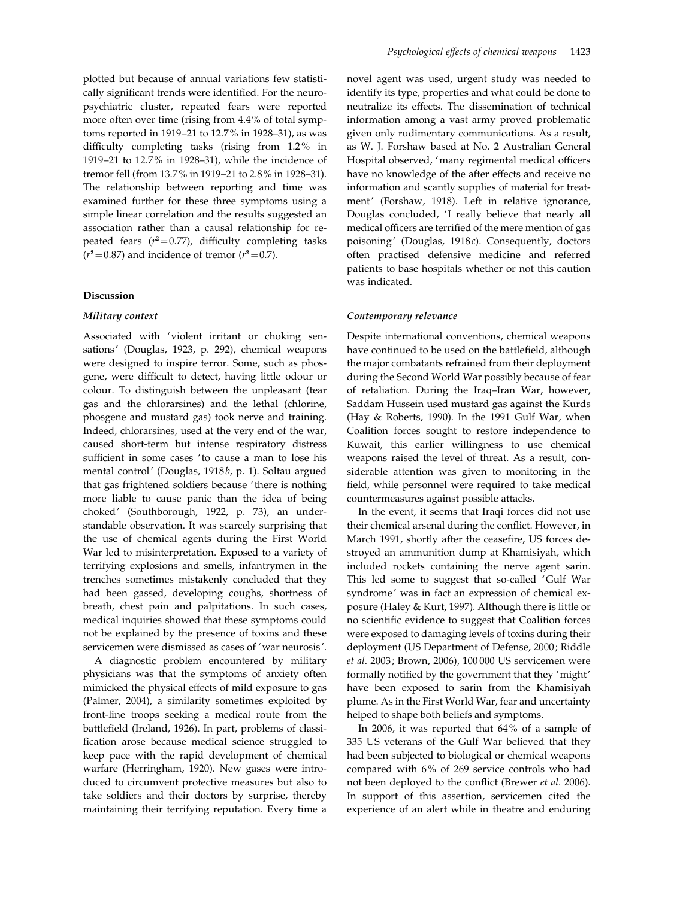plotted but because of annual variations few statistically significant trends were identified. For the neuropsychiatric cluster, repeated fears were reported more often over time (rising from 4.4% of total symptoms reported in 1919–21 to 12.7% in 1928–31), as was difficulty completing tasks (rising from 1.2% in 1919–21 to 12.7% in 1928–31), while the incidence of tremor fell (from 13.7% in 1919–21 to 2.8% in 1928–31). The relationship between reporting and time was examined further for these three symptoms using a simple linear correlation and the results suggested an association rather than a causal relationship for repeated fears  $(r^2=0.77)$ , difficulty completing tasks  $(r^2=0.87)$  and incidence of tremor  $(r^2=0.7)$ .

#### Discussion

#### Military context

Associated with 'violent irritant or choking sensations' (Douglas, 1923, p. 292), chemical weapons were designed to inspire terror. Some, such as phosgene, were difficult to detect, having little odour or colour. To distinguish between the unpleasant (tear gas and the chlorarsines) and the lethal (chlorine, phosgene and mustard gas) took nerve and training. Indeed, chlorarsines, used at the very end of the war, caused short-term but intense respiratory distress sufficient in some cases 'to cause a man to lose his mental control' (Douglas, 1918b, p. 1). Soltau argued that gas frightened soldiers because ' there is nothing more liable to cause panic than the idea of being choked' (Southborough, 1922, p. 73), an understandable observation. It was scarcely surprising that the use of chemical agents during the First World War led to misinterpretation. Exposed to a variety of terrifying explosions and smells, infantrymen in the trenches sometimes mistakenly concluded that they had been gassed, developing coughs, shortness of breath, chest pain and palpitations. In such cases, medical inquiries showed that these symptoms could not be explained by the presence of toxins and these servicemen were dismissed as cases of 'war neurosis'.

A diagnostic problem encountered by military physicians was that the symptoms of anxiety often mimicked the physical effects of mild exposure to gas (Palmer, 2004), a similarity sometimes exploited by front-line troops seeking a medical route from the battlefield (Ireland, 1926). In part, problems of classification arose because medical science struggled to keep pace with the rapid development of chemical warfare (Herringham, 1920). New gases were introduced to circumvent protective measures but also to take soldiers and their doctors by surprise, thereby maintaining their terrifying reputation. Every time a novel agent was used, urgent study was needed to identify its type, properties and what could be done to neutralize its effects. The dissemination of technical information among a vast army proved problematic given only rudimentary communications. As a result, as W. J. Forshaw based at No. 2 Australian General Hospital observed, 'many regimental medical officers have no knowledge of the after effects and receive no information and scantly supplies of material for treatment' (Forshaw, 1918). Left in relative ignorance, Douglas concluded, 'I really believe that nearly all medical officers are terrified of the mere mention of gas poisoning' (Douglas, 1918c). Consequently, doctors often practised defensive medicine and referred patients to base hospitals whether or not this caution was indicated.

## Contemporary relevance

Despite international conventions, chemical weapons have continued to be used on the battlefield, although the major combatants refrained from their deployment during the Second World War possibly because of fear of retaliation. During the Iraq–Iran War, however, Saddam Hussein used mustard gas against the Kurds (Hay & Roberts, 1990). In the 1991 Gulf War, when Coalition forces sought to restore independence to Kuwait, this earlier willingness to use chemical weapons raised the level of threat. As a result, considerable attention was given to monitoring in the field, while personnel were required to take medical countermeasures against possible attacks.

In the event, it seems that Iraqi forces did not use their chemical arsenal during the conflict. However, in March 1991, shortly after the ceasefire, US forces destroyed an ammunition dump at Khamisiyah, which included rockets containing the nerve agent sarin. This led some to suggest that so-called 'Gulf War syndrome' was in fact an expression of chemical exposure (Haley & Kurt, 1997). Although there is little or no scientific evidence to suggest that Coalition forces were exposed to damaging levels of toxins during their deployment (US Department of Defense, 2000; Riddle et al. 2003; Brown, 2006), 100 000 US servicemen were formally notified by the government that they 'might' have been exposed to sarin from the Khamisiyah plume. As in the First World War, fear and uncertainty helped to shape both beliefs and symptoms.

In 2006, it was reported that 64% of a sample of 335 US veterans of the Gulf War believed that they had been subjected to biological or chemical weapons compared with 6% of 269 service controls who had not been deployed to the conflict (Brewer et al. 2006). In support of this assertion, servicemen cited the experience of an alert while in theatre and enduring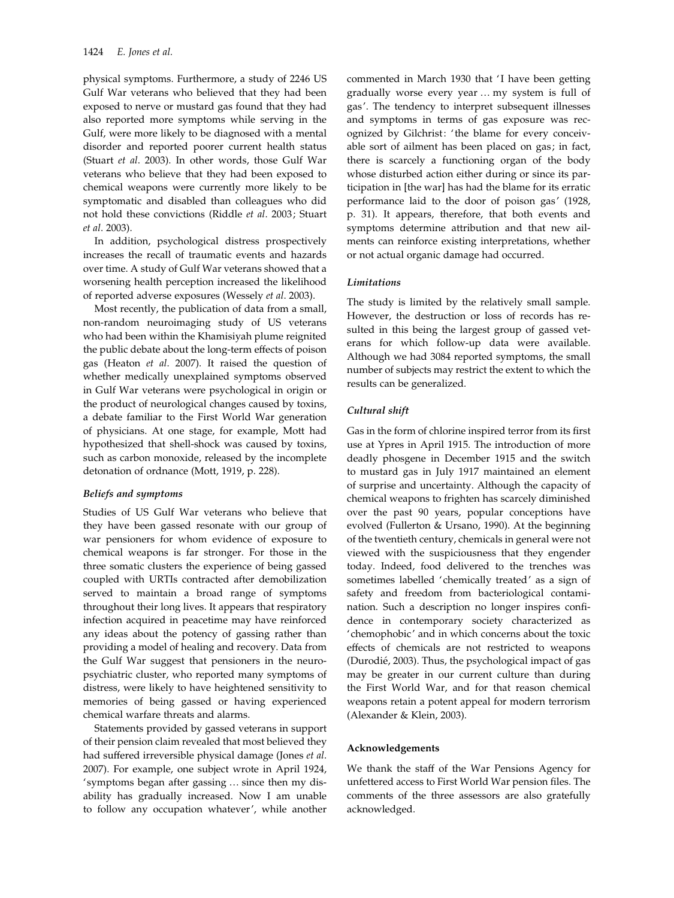physical symptoms. Furthermore, a study of 2246 US Gulf War veterans who believed that they had been exposed to nerve or mustard gas found that they had also reported more symptoms while serving in the Gulf, were more likely to be diagnosed with a mental disorder and reported poorer current health status (Stuart et al. 2003). In other words, those Gulf War veterans who believe that they had been exposed to chemical weapons were currently more likely to be symptomatic and disabled than colleagues who did not hold these convictions (Riddle et al. 2003; Stuart et al. 2003).

In addition, psychological distress prospectively increases the recall of traumatic events and hazards over time. A study of Gulf War veterans showed that a worsening health perception increased the likelihood of reported adverse exposures (Wessely et al. 2003).

Most recently, the publication of data from a small, non-random neuroimaging study of US veterans who had been within the Khamisiyah plume reignited the public debate about the long-term effects of poison gas (Heaton et al. 2007). It raised the question of whether medically unexplained symptoms observed in Gulf War veterans were psychological in origin or the product of neurological changes caused by toxins, a debate familiar to the First World War generation of physicians. At one stage, for example, Mott had hypothesized that shell-shock was caused by toxins, such as carbon monoxide, released by the incomplete detonation of ordnance (Mott, 1919, p. 228).

## Beliefs and symptoms

Studies of US Gulf War veterans who believe that they have been gassed resonate with our group of war pensioners for whom evidence of exposure to chemical weapons is far stronger. For those in the three somatic clusters the experience of being gassed coupled with URTIs contracted after demobilization served to maintain a broad range of symptoms throughout their long lives. It appears that respiratory infection acquired in peacetime may have reinforced any ideas about the potency of gassing rather than providing a model of healing and recovery. Data from the Gulf War suggest that pensioners in the neuropsychiatric cluster, who reported many symptoms of distress, were likely to have heightened sensitivity to memories of being gassed or having experienced chemical warfare threats and alarms.

Statements provided by gassed veterans in support of their pension claim revealed that most believed they had suffered irreversible physical damage (Jones et al. 2007). For example, one subject wrote in April 1924, 'symptoms began after gassing … since then my disability has gradually increased. Now I am unable to follow any occupation whatever', while another commented in March 1930 that 'I have been getting gradually worse every year … my system is full of gas'. The tendency to interpret subsequent illnesses and symptoms in terms of gas exposure was recognized by Gilchrist: 'the blame for every conceivable sort of ailment has been placed on gas; in fact, there is scarcely a functioning organ of the body whose disturbed action either during or since its participation in [the war] has had the blame for its erratic performance laid to the door of poison gas' (1928, p. 31). It appears, therefore, that both events and symptoms determine attribution and that new ailments can reinforce existing interpretations, whether or not actual organic damage had occurred.

## Limitations

The study is limited by the relatively small sample. However, the destruction or loss of records has resulted in this being the largest group of gassed veterans for which follow-up data were available. Although we had 3084 reported symptoms, the small number of subjects may restrict the extent to which the results can be generalized.

## Cultural shift

Gas in the form of chlorine inspired terror from its first use at Ypres in April 1915. The introduction of more deadly phosgene in December 1915 and the switch to mustard gas in July 1917 maintained an element of surprise and uncertainty. Although the capacity of chemical weapons to frighten has scarcely diminished over the past 90 years, popular conceptions have evolved (Fullerton & Ursano, 1990). At the beginning of the twentieth century, chemicals in general were not viewed with the suspiciousness that they engender today. Indeed, food delivered to the trenches was sometimes labelled 'chemically treated' as a sign of safety and freedom from bacteriological contamination. Such a description no longer inspires confidence in contemporary society characterized as 'chemophobic' and in which concerns about the toxic effects of chemicals are not restricted to weapons (Durodié, 2003). Thus, the psychological impact of gas may be greater in our current culture than during the First World War, and for that reason chemical weapons retain a potent appeal for modern terrorism (Alexander & Klein, 2003).

## Acknowledgements

We thank the staff of the War Pensions Agency for unfettered access to First World War pension files. The comments of the three assessors are also gratefully acknowledged.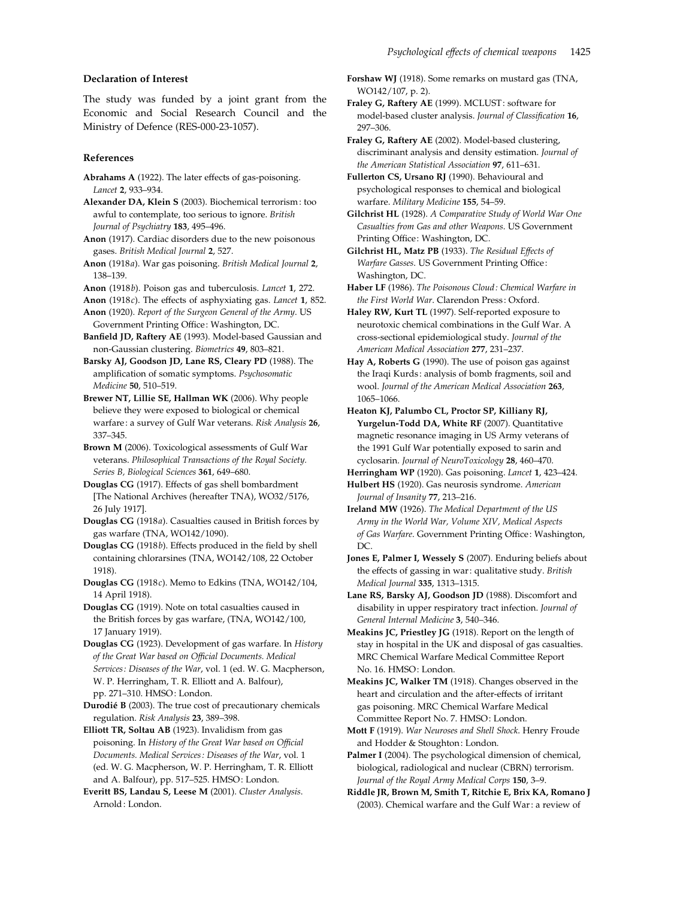## Declaration of Interest

The study was funded by a joint grant from the Economic and Social Research Council and the Ministry of Defence (RES-000-23-1057).

## References

Abrahams A (1922). The later effects of gas-poisoning. Lancet 2, 933–934.

Alexander DA, Klein S (2003). Biochemical terrorism: too awful to contemplate, too serious to ignore. British Journal of Psychiatry 183, 495–496.

Anon (1917). Cardiac disorders due to the new poisonous gases. British Medical Journal 2, 527.

Anon (1918a). War gas poisoning. British Medical Journal 2, 138–139.

Anon (1918b). Poison gas and tuberculosis. Lancet 1, 272.

Anon (1918c). The effects of asphyxiating gas. Lancet 1, 852.

Anon (1920). Report of the Surgeon General of the Army. US Government Printing Office: Washington, DC.

Banfield JD, Raftery AE (1993). Model-based Gaussian and non-Gaussian clustering. Biometrics 49, 803–821.

Barsky AJ, Goodson JD, Lane RS, Cleary PD (1988). The amplification of somatic symptoms. Psychosomatic Medicine 50, 510–519.

Brewer NT, Lillie SE, Hallman WK (2006). Why people believe they were exposed to biological or chemical warfare: a survey of Gulf War veterans. Risk Analysis 26, 337–345.

Brown M (2006). Toxicological assessments of Gulf War veterans. Philosophical Transactions of the Royal Society. Series B, Biological Sciences 361, 649–680.

Douglas CG (1917). Effects of gas shell bombardment [The National Archives (hereafter TNA), WO32/5176, 26 July 1917].

Douglas CG (1918a). Casualties caused in British forces by gas warfare (TNA, WO142/1090).

Douglas CG (1918b). Effects produced in the field by shell containing chlorarsines (TNA, WO142/108, 22 October 1918).

Douglas CG (1918c). Memo to Edkins (TNA, WO142/104, 14 April 1918).

Douglas CG (1919). Note on total casualties caused in the British forces by gas warfare, (TNA, WO142/100, 17 January 1919).

Douglas CG (1923). Development of gas warfare. In History of the Great War based on Official Documents. Medical Services: Diseases of the War, vol. 1 (ed. W. G. Macpherson, W. P. Herringham, T. R. Elliott and A. Balfour), pp. 271–310. HMSO: London.

Durodié B (2003). The true cost of precautionary chemicals regulation. Risk Analysis 23, 389–398.

Elliott TR, Soltau AB (1923). Invalidism from gas poisoning. In History of the Great War based on Official Documents. Medical Services: Diseases of the War, vol. 1 (ed. W. G. Macpherson, W. P. Herringham, T. R. Elliott and A. Balfour), pp. 517–525. HMSO: London.

Everitt BS, Landau S, Leese M (2001). Cluster Analysis. Arnold: London.

Forshaw WJ (1918). Some remarks on mustard gas (TNA, WO142/107, p. 2).

Fraley G, Raftery AE (1999). MCLUST: software for model-based cluster analysis. Journal of Classification 16, 297–306.

Fraley G, Raftery AE (2002). Model-based clustering, discriminant analysis and density estimation. Journal of the American Statistical Association 97, 611–631.

Fullerton CS, Ursano RJ (1990). Behavioural and psychological responses to chemical and biological warfare. Military Medicine 155, 54–59.

Gilchrist HL (1928). A Comparative Study of World War One Casualties from Gas and other Weapons. US Government Printing Office: Washington, DC.

Gilchrist HL, Matz PB (1933). The Residual Effects of Warfare Gasses. US Government Printing Office: Washington, DC.

Haber LF (1986). The Poisonous Cloud: Chemical Warfare in the First World War. Clarendon Press: Oxford.

Haley RW, Kurt TL (1997). Self-reported exposure to neurotoxic chemical combinations in the Gulf War. A cross-sectional epidemiological study. Journal of the American Medical Association 277, 231–237.

Hay A, Roberts G (1990). The use of poison gas against the Iraqi Kurds: analysis of bomb fragments, soil and wool. Journal of the American Medical Association 263, 1065–1066.

Heaton KJ, Palumbo CL, Proctor SP, Killiany RJ, Yurgelun-Todd DA, White RF (2007). Quantitative magnetic resonance imaging in US Army veterans of the 1991 Gulf War potentially exposed to sarin and cyclosarin. Journal of NeuroToxicology 28, 460–470.

Herringham WP (1920). Gas poisoning. Lancet 1, 423–424. Hulbert HS (1920). Gas neurosis syndrome. American

Journal of Insanity 77, 213–216. Ireland MW (1926). The Medical Department of the US Army in the World War, Volume XIV, Medical Aspects of Gas Warfare. Government Printing Office: Washington, DC.

Jones E, Palmer I, Wessely S (2007). Enduring beliefs about the effects of gassing in war: qualitative study. British Medical Journal 335, 1313–1315.

Lane RS, Barsky AJ, Goodson JD (1988). Discomfort and disability in upper respiratory tract infection. Journal of General Internal Medicine 3, 540–346.

Meakins JC, Priestley JG (1918). Report on the length of stay in hospital in the UK and disposal of gas casualties. MRC Chemical Warfare Medical Committee Report No. 16. HMSO: London.

Meakins JC, Walker TM (1918). Changes observed in the heart and circulation and the after-effects of irritant gas poisoning. MRC Chemical Warfare Medical Committee Report No. 7. HMSO: London.

Mott F (1919). War Neuroses and Shell Shock. Henry Froude and Hodder & Stoughton: London.

Palmer I (2004). The psychological dimension of chemical, biological, radiological and nuclear (CBRN) terrorism. Journal of the Royal Army Medical Corps 150, 3–9.

Riddle JR, Brown M, Smith T, Ritchie E, Brix KA, Romano J (2003). Chemical warfare and the Gulf War : a review of